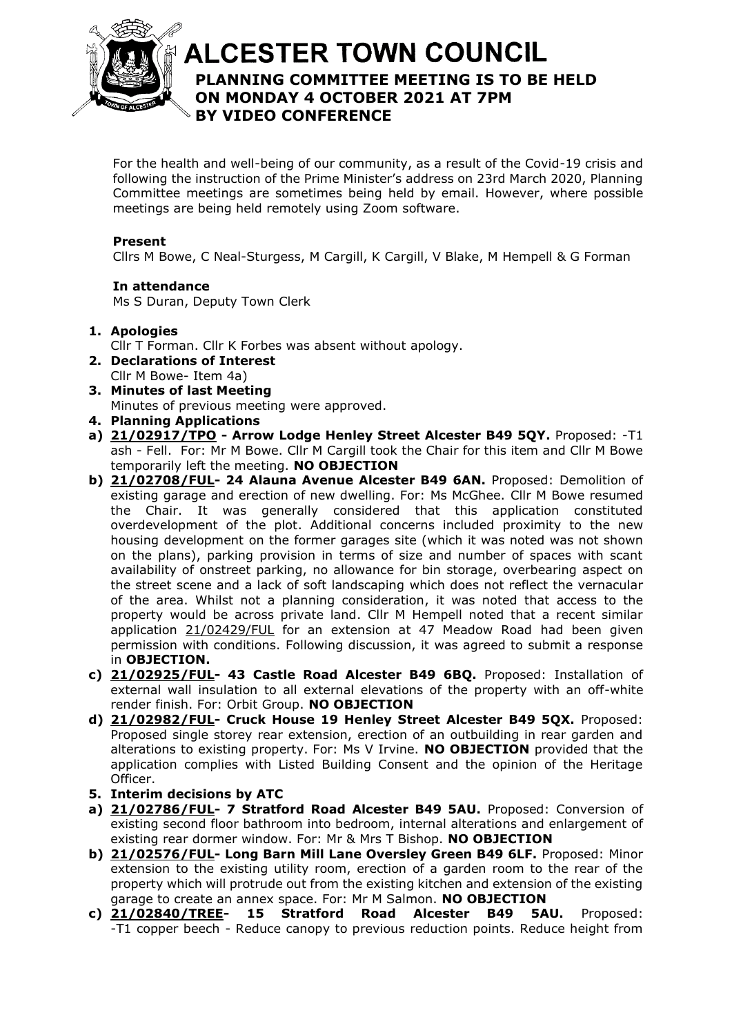

# **ALCESTER TOWN COUNCIL PLANNING COMMITTEE MEETING IS TO BE HELD**  At the discretion of the Chair **ON MONDAY 4 OCTOBER 2021 AT 7PM BY VIDEO CONFERENCE**

For the health and well-being of our community, as a result of the Covid-19 crisis and following the instruction of the Prime Minister's address on 23rd March 2020, Planning Committee meetings are sometimes being held by email. However, where possible meetings are being held remotely using Zoom software.

#### **Present**

Cllrs M Bowe, C Neal-Sturgess, M Cargill, K Cargill, V Blake, M Hempell & G Forman

**In attendance** Ms S Duran, Deputy Town Clerk

- **1. Apologies**
	- Cllr T Forman. Cllr K Forbes was absent without apology.
- **2. Declarations of Interest** Cllr M Bowe- Item 4a)
- **3. Minutes of last Meeting** Minutes of previous meeting were approved.
- **4. Planning Applications**
- **a) [21/02917/TPO](https://apps.stratford.gov.uk/eplanning/AppDetail.aspx?appkey=QZD298PMGDI00) - Arrow Lodge Henley Street Alcester B49 5QY.** Proposed: -T1 ash - Fell. For: Mr M Bowe. Cllr M Cargill took the Chair for this item and Cllr M Bowe temporarily left the meeting. **NO OBJECTION**
- **b) [21/02708/FUL-](https://apps.stratford.gov.uk/eplanning/AppDetail.aspx?appkey=QY55N5PMG1S00) 24 Alauna Avenue Alcester B49 6AN.** Proposed: Demolition of existing garage and erection of new dwelling. For: Ms McGhee. Cllr M Bowe resumed the Chair. It was generally considered that this application constituted overdevelopment of the plot. Additional concerns included proximity to the new housing development on the former garages site (which it was noted was not shown on the plans), parking provision in terms of size and number of spaces with scant availability of onstreet parking, no allowance for bin storage, overbearing aspect on the street scene and a lack of soft landscaping which does not reflect the vernacular of the area. Whilst not a planning consideration, it was noted that access to the property would be across private land. Cllr M Hempell noted that a recent similar application [21/02429/FUL](https://apps.stratford.gov.uk/eplanning/AppDetail.aspx?appkey=QWY6EFPMMR100) for an extension at 47 Meadow Road had been given permission with conditions. Following discussion, it was agreed to submit a response in **OBJECTION.**
- **c) [21/02925/FUL-](https://apps.stratford.gov.uk/eplanning/AppDetail.aspx?appkey=QZD4ZNPMGGY00) 43 Castle Road Alcester B49 6BQ.** Proposed: Installation of external wall insulation to all external elevations of the property with an off-white render finish. For: Orbit Group. **NO OBJECTION**
- **d) [21/02982/FUL-](https://apps.stratford.gov.uk/eplanning/AppDetail.aspx?appkey=QZIXA1PMHZY00) Cruck House 19 Henley Street Alcester B49 5QX.** Proposed: Proposed single storey rear extension, erection of an outbuilding in rear garden and alterations to existing property. For: Ms V Irvine. **NO OBJECTION** provided that the application complies with Listed Building Consent and the opinion of the Heritage Officer.
- **5. Interim decisions by ATC**
- **a) [21/02786/FUL-](https://apps.stratford.gov.uk/eplanning/AppDetail.aspx?appkey=QYPLU4PMJ9600) 7 Stratford Road Alcester B49 5AU.** Proposed: Conversion of existing second floor bathroom into bedroom, internal alterations and enlargement of existing rear dormer window. For: Mr & Mrs T Bishop. **NO OBJECTION**
- **b) [21/02576/FUL-](https://apps.stratford.gov.uk/eplanning/AppDetail.aspx?appkey=QXNY8XPMJLT00) Long Barn Mill Lane Oversley Green B49 6LF.** Proposed: Minor extension to the existing utility room, erection of a garden room to the rear of the property which will protrude out from the existing kitchen and extension of the existing garage to create an annex space. For: Mr M Salmon. **NO OBJECTION**
- **c) [21/02840/TREE-](https://apps.stratford.gov.uk/eplanning/AppDetail.aspx?appkey=QZ03HIPML8900) 15 Stratford Road Alcester B49 5AU.** Proposed: -T1 copper beech - Reduce canopy to previous reduction points. Reduce height from